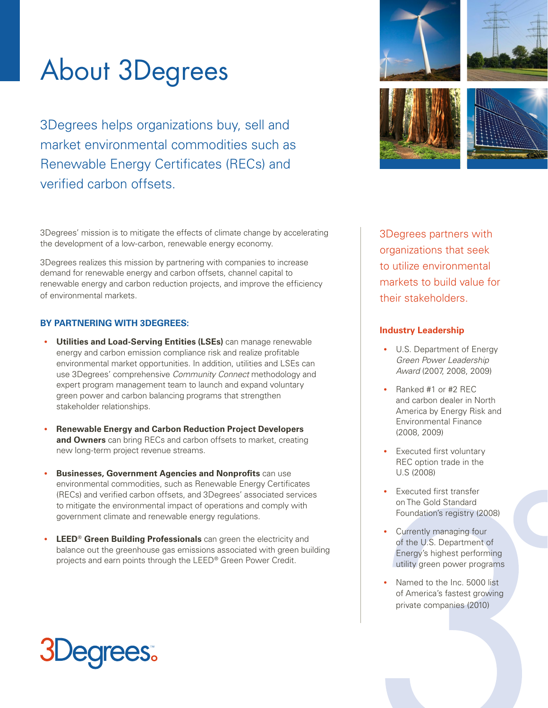# About 3Degrees

3Degrees helps organizations buy, sell and market environmental commodities such as Renewable Energy Certificates (RECs) and verified carbon offsets.

3Degrees' mission is to mitigate the effects of climate change by accelerating the development of a low-carbon, renewable energy economy.

3Degrees realizes this mission by partnering with companies to increase demand for renewable energy and carbon offsets, channel capital to renewable energy and carbon reduction projects, and improve the efficiency of environmental markets.

### **BY PARTNERING WITH 3DEGREES:**

- **Utilities and Load-Serving Entities (LSEs)** can manage renewable energy and carbon emission compliance risk and realize profitable environmental market opportunities. In addition, utilities and LSEs can use 3Degrees' comprehensive *Community Connect* methodology and expert program management team to launch and expand voluntary green power and carbon balancing programs that strengthen stakeholder relationships.
- **Renewable Energy and Carbon Reduction Project Developers and Owners** can bring RECs and carbon offsets to market, creating new long-term project revenue streams.
- **Businesses, Government Agencies and Nonprofits** can use environmental commodities, such as Renewable Energy Certificates (RECs) and verified carbon offsets, and 3Degrees' associated services to mitigate the environmental impact of operations and comply with government climate and renewable energy regulations.
- **LEED® Green Building Professionals** can green the electricity and balance out the greenhouse gas emissions associated with green building projects and earn points through the LEED® Green Power Credit.



3Degrees partners with organizations that seek to utilize environmental markets to build value for their stakeholders.

#### **Industry Leadership**

- U.S. Department of Energy *Green Power Leadership Award* (2007, 2008, 2009)
- Ranked #1 or #2 REC and carbon dealer in North America by Energy Risk and Environmental Finance (2008, 2009)
- Executed first voluntary REC option trade in the U.S (2008)
- Executed first transfer on The Gold Standard Foundation's registry (2008)
- Currently managing four of the U.S. Department of Energy's highest performing utility green power programs
- Named to the Inc. 5000 list of America's fastest growing private companies (2010)

# **JDegrees**.